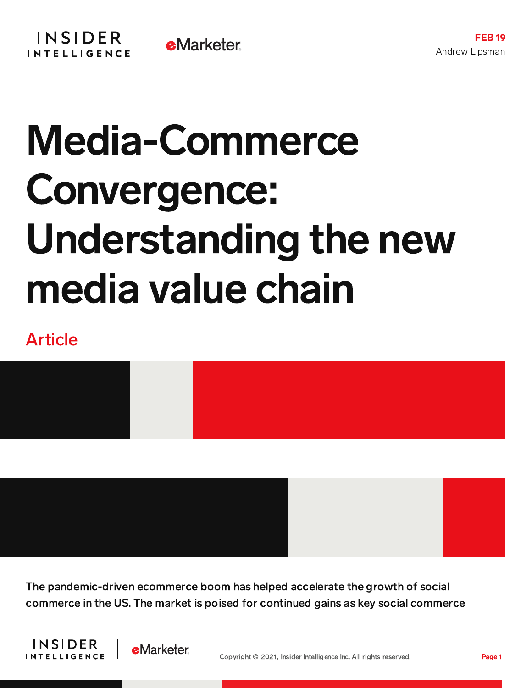## Media-Commerce Convergence: Understanding the new media value chain

## Article



The pandemic-driven ecommerce boom has helped accelerate the growth of social commerce in the US. The market is poised for continued gains as key social commerce



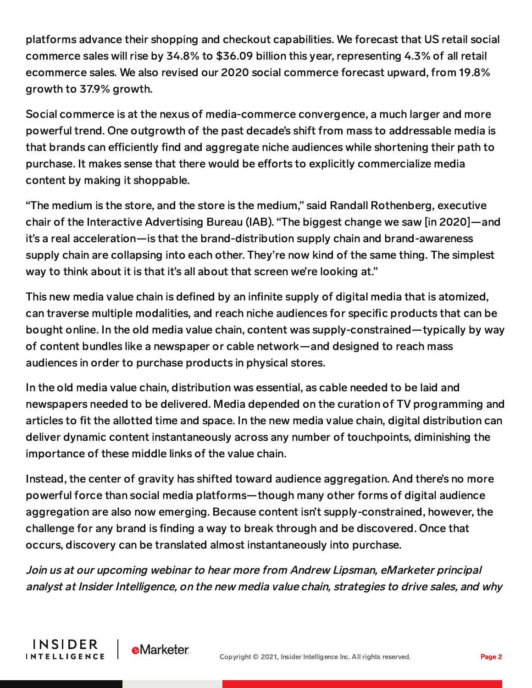platforms advance their shopping and checkout capabilities. We forecast that US retail social commerce sales will rise by 34.8% to \$36.09 billion this year, representing 4.3% of all retail ecommerce sales. We also revised our 2020 social commerce forecast upward, from 19.8% growth to 37.9% growth.

Social commerce is at the nexus of media-commerce convergence, a much larger and more powerful trend. One outgrowth of the past decade's shift from mass to addressable media is that brands can efficiently find and aggregate niche audiences while shortening their path to purchase. It makes sense that there would be efforts to explicitly commercialize media content by making it shoppable.

"The medium is the store, and the store is the medium," said Randall Rothenberg, executive chair of the Interactive Advertising Bureau (IAB). "The biggest change we saw [in 2020]—and it's a real acceleration—is that the brand-distribution supply chain and brand-awareness supply chain are collapsing into each other. They're now kind of the same thing. The simplest way to think about it is that it's all about that screen we're looking at."

This new media value chain is defined by an infinite supply of digital media that is atomized, can traverse multiple modalities, and reach niche audiences for specific products that can be bought online. In the old media value chain, content was supply-constrained—typically by way of content bundles like a newspaper or cable network—and designed to reach mass audiences in order to purchase products in physical stores.

In the old media value chain, distribution was essential, as cable needed to be laid and newspapers needed to be delivered. Media depended on the curation of TV programming and articles to fit the allotted time and space. In the new media value chain, digital distribution can deliver dynamic content instantaneously across any number of touchpoints, diminishing the importance of these middle links of the value chain.

Instead, the center of gravity has shifted toward audience aggregation. And there's no more powerful force than social media platforms—though many other forms of digital audience aggregation are also now emerging. Because content isn't supply-constrained, however, the challenge for any brand is finding a way to break through and be discovered. Once that occurs, discovery can be translated almost instantaneously into purchase.

Join us at our upcoming webinar to hear more from Andrew Lipsman, eMarketer principal analyst at Insider Intelligence, on the new media value chain, strategies to drive sales, and why

**INSIDER** 

**INTELLIGENCE** 

**eMarketer**